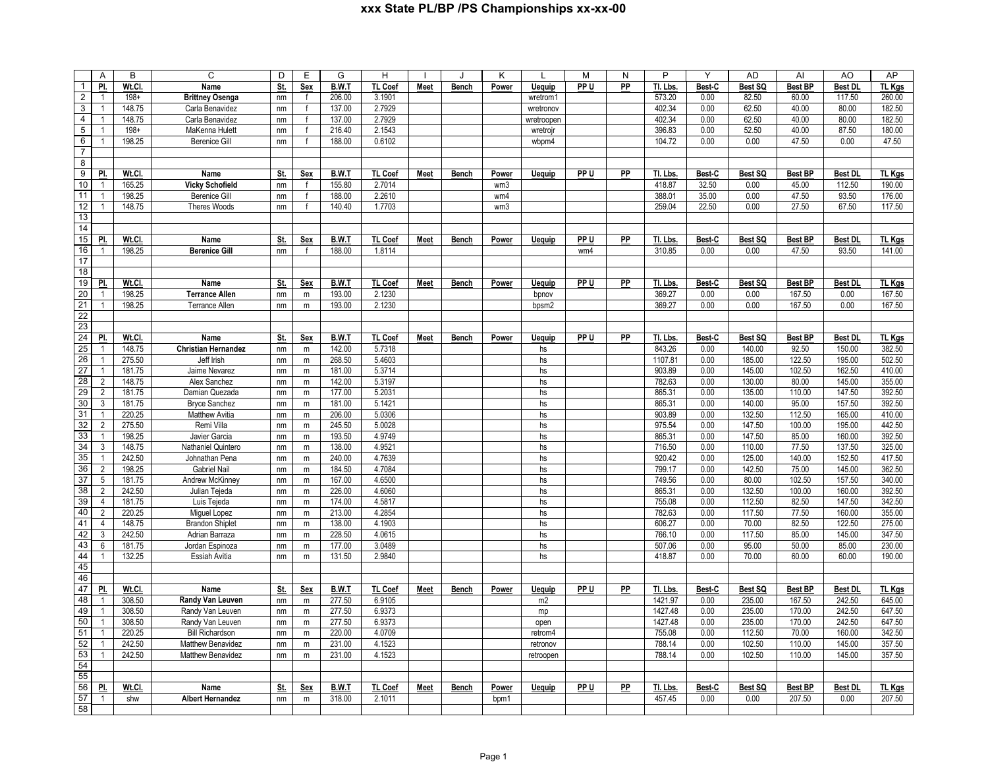|                                    | Α                     | B               | C                                  | D          | E            | G               | H                 |             | J            | Κ            | L              | M    | Ν  | P                  | Y              | <b>AD</b>         | Al                      | AO                       | AP               |
|------------------------------------|-----------------------|-----------------|------------------------------------|------------|--------------|-----------------|-------------------|-------------|--------------|--------------|----------------|------|----|--------------------|----------------|-------------------|-------------------------|--------------------------|------------------|
| $\mathbf{1}$                       | <u>PI.</u>            | Wt.CI           | Name                               | St.        | <b>Sex</b>   | <b>B.W.T</b>    | <b>TL Coef</b>    | <b>Meet</b> | <b>Bench</b> | Power        | <b>Uequip</b>  | PP U | PP | Tl. Lbs            | Best-C         | Best SQ           | <b>Best BP</b>          | <b>Best DL</b>           | TL Kgs           |
| $\overline{2}$                     | $\overline{1}$        | $198+$          | <b>Brittney Osenga</b>             | nm         | f            | 206.00          | 3.1901            |             |              |              | wretrom1       |      |    | 573.20             | 0.00           | 82.50             | 60.00                   | 117.50                   | 260.00           |
| $\mathbf{3}$                       | $\overline{1}$        | 148.75          | Carla Benavidez                    | nm         |              | 137.00          | 2.7929            |             |              |              | wretronov      |      |    | 402.34             | 0.00           | 62.50             | 40.00                   | 80.00                    | 182.50           |
| $\overline{4}$                     | $\overline{1}$        | 148.75          | Carla Benavidez                    | nm         | $\mathsf{f}$ | 137.00          | 2.7929            |             |              |              | wretroopen     |      |    | 402.34             | 0.00           | 62.50             | 40.00                   | 80.00                    | 182.50           |
| $\overline{5}$                     | $\overline{1}$        | $198 +$         | MaKenna Hulett                     | nm         | $\mathsf{f}$ | 216.40          | 2.1543            |             |              |              | wretrojn       |      |    | 396.83             | 0.00           | 52.50             | 40.00                   | 87.50                    | 180.00           |
| $6\overline{6}$                    | $\overline{1}$        | 198.25          | <b>Berenice Gill</b>               | nm         | $\mathsf{f}$ | 188.00          | 0.6102            |             |              |              | wbpm4          |      |    | 104.72             | 0.00           | 0.00              | 47.50                   | 0.00                     | 47.50            |
| $\overline{7}$                     |                       |                 |                                    |            |              |                 |                   |             |              |              |                |      |    |                    |                |                   |                         |                          |                  |
| 8                                  |                       |                 |                                    |            |              |                 |                   |             |              |              |                |      |    |                    |                |                   |                         |                          |                  |
| 9                                  | <u>PI.</u>            | Wt.Cl.          | Name                               | St.        | <b>Sex</b>   | B.W.T           | TL Coef           | <b>Meet</b> | <b>Bench</b> | Power        | <b>Uequip</b>  | PP U | PP | Tl. Lbs.           | Best-C         | Best SQ           | <b>Best BP</b>          | <b>Best DL</b>           | <b>TL Kgs</b>    |
| 10                                 | $\overline{1}$        | 165.25          | <b>Vicky Schofield</b>             | nm         | $\mathsf{f}$ | 155.80          | 2.7014            |             |              | wm3          |                |      |    | 418.87             | 32.50          | 0.00              | 45.00                   | 112.50                   | 190.00           |
| 11                                 | $\mathbf{1}$          | 198.25          | <b>Berenice Gill</b>               | nm         |              | 188.00          | 2.2610            |             |              | wm4          |                |      |    | 388.01             | 35.00          | 0.00              | 47.50                   | 93.50                    | 176.00           |
| 12                                 | $\overline{1}$        | 148.75          | Theres Woods                       | nm         | $\mathbf f$  | 140.40          | 1.7703            |             |              | wm3          |                |      |    | 259.04             | 22.50          | 0.00              | 27.50                   | 67.50                    | 117.50           |
| 13                                 |                       |                 |                                    |            |              |                 |                   |             |              |              |                |      |    |                    |                |                   |                         |                          |                  |
| 14                                 |                       |                 |                                    |            |              |                 |                   |             |              |              |                |      |    |                    |                |                   |                         |                          |                  |
| 15                                 | PI.                   | Wt.Cl.          | Name                               | <u>St.</u> | <u>Sex</u>   | B.W.T           | TL Coef           | <b>Meet</b> | <b>Bench</b> | <b>Power</b> | <b>Uequip</b>  | PP U | PP | Tl. Lbs.           | Best-C         | Best SQ           | <b>Best BP</b>          | <b>Best DI</b>           | <u>TL Kgs</u>    |
| 16                                 | $\overline{1}$        | 198.25          | <b>Berenice Gill</b>               |            | $\mathsf{f}$ | 188.00          | 1.8114            |             |              |              |                | wm4  |    | 310.85             | 0.00           | 0.00              | 47.50                   | 93.50                    | 141.00           |
| 17                                 |                       |                 |                                    | nm         |              |                 |                   |             |              |              |                |      |    |                    |                |                   |                         |                          |                  |
| 18                                 |                       |                 |                                    |            |              |                 |                   |             |              |              |                |      |    |                    |                |                   |                         |                          |                  |
| 19                                 | PI.                   | Wt.Cl.          | Name                               |            | Sex          | B.W.T           | TL Coef           |             |              |              |                | PP U | PP | Tl. Lbs.           | Best-C         | Best SQ           | <b>Best BP</b>          | <b>Best DL</b>           |                  |
| 20                                 | $\overline{1}$        |                 |                                    | St.        |              |                 |                   | Meet        | Bench        | Power        | Uequip         |      |    |                    |                |                   |                         | 0.00                     | TL Kgs           |
|                                    |                       | 198.25          | <b>Terrance Allen</b>              | nm         | ${\sf m}$    | 193.00          | 2.1230            |             |              |              | bpnov          |      |    | 369.27             | 0.00           | 0.00              | 167.50                  |                          | 167.50           |
| 21                                 | $\overline{1}$        | 198.25          | <b>Terrance Allen</b>              | nm         | ${\sf m}$    | 193.00          | 2.1230            |             |              |              | bpsm2          |      |    | 369.27             | 0.00           | 0.00              | 167.50                  | 0.00                     | 167.50           |
| 22<br>23                           |                       |                 |                                    |            |              |                 |                   |             |              |              |                |      |    |                    |                |                   |                         |                          |                  |
|                                    |                       |                 |                                    |            |              |                 |                   |             |              |              |                |      |    |                    |                |                   |                         |                          |                  |
| $\overline{24}$<br>$\overline{25}$ | PI.<br>$\overline{1}$ | Wt.Cl<br>148.75 | Name<br><b>Christian Hernandez</b> | St.        | Sex          | B.W.T<br>142.00 | TL Coef<br>5.7318 | Meet        | Bench        | Power        | Uequip         | PP U | PP | Tl. Lbs.<br>843.26 | Best-C<br>0.00 | Best SQ<br>140.00 | <b>Best BP</b><br>92.50 | <b>Best DL</b><br>150.00 | TL Kgs<br>382.50 |
| 26                                 | $\overline{1}$        |                 |                                    | nm         | ${\sf m}$    |                 |                   |             |              |              | hs             |      |    |                    |                |                   |                         |                          |                  |
|                                    |                       | 275.50          | Jeff Irish                         | nm         | m            | 268.50          | 5.4603            |             |              |              | hs             |      |    | 1107.81            | 0.00           | 185.00            | 122.50                  | 195.00                   | 502.50           |
| $\overline{27}$                    | $\overline{1}$        | 181.75          | Jaime Nevarez                      | nm         | ${\sf m}$    | 181.00          | 5.3714            |             |              |              | hs             |      |    | 903.89             | 0.00           | 145.00            | 102.50                  | 162.50                   | 410.00           |
| $\overline{28}$                    | $\overline{2}$        | 148.75          | Alex Sanchez                       | nm         | ${\sf m}$    | 142.00          | 5.3197            |             |              |              | hs             |      |    | 782.63             | 0.00           | 130.00            | 80.00                   | 145.00                   | 355.00           |
| 29                                 | $\overline{2}$        | 181.75          | Damian Quezada                     | nm         | m            | 177.00          | 5.2031            |             |              |              | hs             |      |    | 865.31             | 0.00           | 135.00            | 110.00                  | 147.50                   | 392.50           |
| 30                                 | 3                     | 181.75          | <b>Bryce Sanchez</b>               | nm         | m            | 181.00          | 5.1421            |             |              |              | hs             |      |    | 865.31             | 0.00           | 140.00            | 95.00                   | 157.50                   | 392.50           |
| 31                                 | $\overline{1}$        | 220.25          | Matthew Avitia                     | nm         | m            | 206.00          | 5.0306            |             |              |              | hs             |      |    | 903.89             | 0.00           | 132.50            | 112.50                  | 165.00                   | 410.00           |
| 32                                 | 2                     | 275.50          | Remi Villa                         | nm         | m            | 245.50          | 5.0028            |             |              |              | hs             |      |    | 975.54             | 0.00           | 147.50            | 100.00                  | 195.00                   | 442.50           |
| 33                                 | $\overline{1}$        | 198.25          | Javier Garcia                      | nm         | m            | 193.50          | 4.9749            |             |              |              | hs             |      |    | 865.31             | 0.00           | 147.50            | 85.00                   | 160.00                   | 392.50           |
| 34                                 | $\mathbf{3}$          | 148.75          | Nathaniel Quintero                 | nm         | ${\sf m}$    | 138.00          | 4.9521            |             |              |              | hs             |      |    | 716.50             | 0.00           | 110.00            | 77.50                   | 137.50                   | 325.00           |
| 35                                 | $\overline{1}$        | 242.50          | Johnathan Pena                     | nm         | m            | 240.00          | 4.7639            |             |              |              | hs             |      |    | 920.42             | 0.00           | 125.00            | 140.00                  | 152.50                   | 417.50           |
| 36                                 | $\overline{2}$        | 198.25          | <b>Gabriel Nail</b>                | nm         | ${\sf m}$    | 184.50          | 4.7084            |             |              |              | hs             |      |    | 799.17             | 0.00           | 142.50            | 75.00                   | 145.00                   | 362.50           |
| 37                                 | $5\phantom{.0}$       | 181.75          | Andrew McKinney                    | nm         | ${\sf m}$    | 167.00          | 4.6500            |             |              |              | hs             |      |    | 749.56             | 0.00           | 80.00             | 102.50                  | 157.50                   | 340.00           |
| 38                                 | $\overline{2}$        | 242.50          | Julian Tejeda                      | nm         | ${\sf m}$    | 226.00          | 4.6060            |             |              |              | hs             |      |    | 865.31             | 0.00           | 132.50            | 100.00                  | 160.00                   | 392.50           |
| 39                                 | $\overline{4}$        | 181.75          | Luis Tejeda                        | nm         | m            | 174.00          | 4.5817            |             |              |              | hs             |      |    | 755.08             | 0.00           | 112.50            | 82.50                   | 147.50                   | 342.50           |
| 40                                 | $\overline{2}$        | 220.25          | Miguel Lopez                       | nm         | ${\sf m}$    | 213.00          | 4.2854            |             |              |              | hs             |      |    | 782.63             | 0.00           | 117.50            | 77.50                   | 160.00                   | 355.00           |
| 41                                 | $\overline{4}$        | 148.75          | <b>Brandon Shiplet</b>             | nm         | ${\sf m}$    | 138.00          | 4.1903            |             |              |              | hs             |      |    | 606.27             | 0.00           | 70.00             | 82.50                   | 122.50                   | 275.00           |
| 42                                 | 3                     | 242.50          | Adrian Barraza                     | nm         | ${\sf m}$    | 228.50          | 4.0615            |             |              |              | hs             |      |    | 766.10             | 0.00           | 117.50            | 85.00                   | 145.00                   | 347.50           |
| 43                                 | 6                     | 181.75          | Jordan Espinoza                    | nm         | ${\sf m}$    | 177.00          | 3.0489            |             |              |              | hs             |      |    | 507.06             | 0.00           | 95.00             | 50.00                   | 85.00                    | 230.00           |
| 44                                 | $\overline{1}$        | 132.25          | Essiah Avitia                      | nm         | m            | 131.50          | 2.9840            |             |              |              | hs             |      |    | 418.87             | 0.00           | 70.00             | 60.00                   | 60.00                    | 190.00           |
| 45                                 |                       |                 |                                    |            |              |                 |                   |             |              |              |                |      |    |                    |                |                   |                         |                          |                  |
| 46                                 |                       |                 |                                    |            |              |                 |                   |             |              |              |                |      |    |                    |                |                   |                         |                          |                  |
| 47                                 | PI.                   | Wt.Cl.          | Name                               | St.        | Sex          | B.W.T           | TL Coef           | Meet        | Bench        | Power        | <b>Uequip</b>  | PP U | PP | Tl. Lbs.           | Best-C         | Best SQ           | <b>Best BP</b>          | <b>Best DL</b>           | <b>TL Kgs</b>    |
| 48                                 | $\overline{1}$        | 308.50          | Randy Van Leuven                   | nm         | ${\sf m}$    | 277.50          | 6.9105            |             |              |              | m <sub>2</sub> |      |    | 1421.97            | 0.00           | 235.00            | 167.50                  | 242.50                   | 645.00           |
| 49                                 | $\overline{1}$        | 308.50          | Randy Van Leuven                   | nm         | m            | 277.50          | 6.9373            |             |              |              | mp             |      |    | 1427.48            | 0.00           | 235.00            | 170.00                  | 242.50                   | 647.50           |
| 50                                 | $\overline{1}$        | 308.50          | Randy Van Leuven                   | nm         | m            | 277.50          | 6.9373            |             |              |              | open           |      |    | 1427.48            | 0.00           | 235.00            | 170.00                  | 242.50                   | 647.50           |
| 51                                 | $\overline{1}$        | 220.25          | <b>Bill Richardson</b>             | nm         | m            | 220.00          | 4.0709            |             |              |              | retrom4        |      |    | 755.08             | 0.00           | 112.50            | 70.00                   | 160.00                   | 342.50           |
| 52                                 | $\overline{1}$        | 242.50          | Matthew Benavidez                  | nm         | m            | 231.00          | 4.1523            |             |              |              | retronov       |      |    | 788.14             | 0.00           | 102.50            | 110.00                  | 145.00                   | 357.50           |
| 53                                 | $\overline{1}$        | 242.50          | Matthew Benavidez                  | nm         | ${\sf m}$    | 231.00          | 4.1523            |             |              |              | retroopen      |      |    | 788.14             | 0.00           | 102.50            | 110.00                  | 145.00                   | 357.50           |
| 54                                 |                       |                 |                                    |            |              |                 |                   |             |              |              |                |      |    |                    |                |                   |                         |                          |                  |
| 55                                 |                       |                 |                                    |            |              |                 |                   |             |              |              |                |      |    |                    |                |                   |                         |                          |                  |
| 56                                 | PI.                   | Wt.CI           | Name                               | St.        | Sex          | B.W.T           | <b>TL Coef</b>    | Meet        | Bench        | Power        | <b>Uequip</b>  | PP U | PP | TI. Lbs.           | Best-C         | Best SQ           | Best BP                 | Best DI                  | TL Kgs           |
| 57                                 | $\overline{1}$        | shw             | <b>Albert Hernandez</b>            | nm         | m            | 318.00          | 2.1011            |             |              | bpm1         |                |      |    | 457.45             | 0.00           | 0.00              | 207.50                  | 0.00                     | 207.50           |
| 58                                 |                       |                 |                                    |            |              |                 |                   |             |              |              |                |      |    |                    |                |                   |                         |                          |                  |